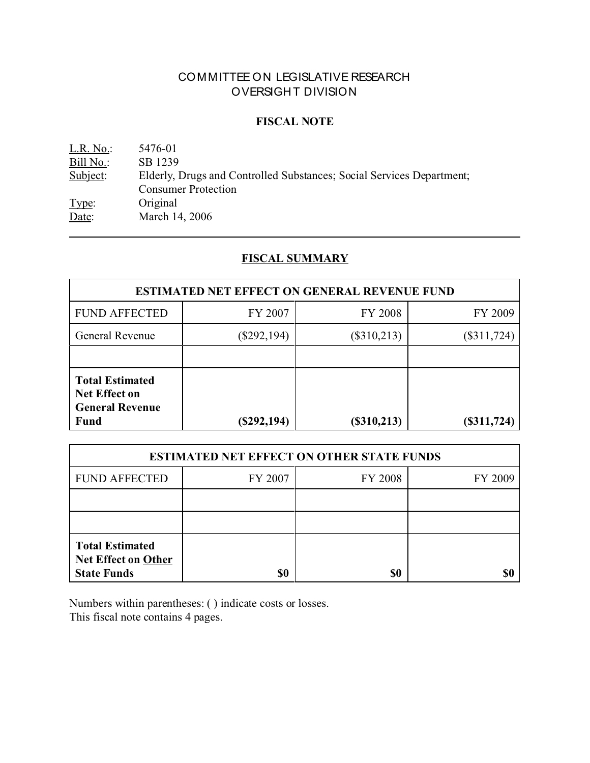# COMMITTEE ON LEGISLATIVE RESEARCH OVERSIGHT DIVISION

### **FISCAL NOTE**

L.R. No.: 5476-01 Bill No.: SB 1239<br>Subject: Elderly, I Elderly, Drugs and Controlled Substances; Social Services Department; Consumer Protection Type: Original Date: March 14, 2006

# **FISCAL SUMMARY**

| <b>ESTIMATED NET EFFECT ON GENERAL REVENUE FUND</b>                                     |               |                |               |
|-----------------------------------------------------------------------------------------|---------------|----------------|---------------|
| <b>FUND AFFECTED</b>                                                                    | FY 2007       | <b>FY 2008</b> | FY 2009       |
| General Revenue                                                                         | $(\$292,194)$ | $(\$310,213)$  | $(\$311,724)$ |
|                                                                                         |               |                |               |
| <b>Total Estimated</b><br><b>Net Effect on</b><br><b>General Revenue</b><br><b>Fund</b> | $(\$292,194)$ | (\$310,213)    | $(\$311,724)$ |

| <b>ESTIMATED NET EFFECT ON OTHER STATE FUNDS</b>                           |         |                |         |  |
|----------------------------------------------------------------------------|---------|----------------|---------|--|
| <b>FUND AFFECTED</b>                                                       | FY 2007 | <b>FY 2008</b> | FY 2009 |  |
|                                                                            |         |                |         |  |
|                                                                            |         |                |         |  |
| <b>Total Estimated</b><br><b>Net Effect on Other</b><br><b>State Funds</b> | \$0     | \$0            |         |  |

Numbers within parentheses: ( ) indicate costs or losses. This fiscal note contains 4 pages.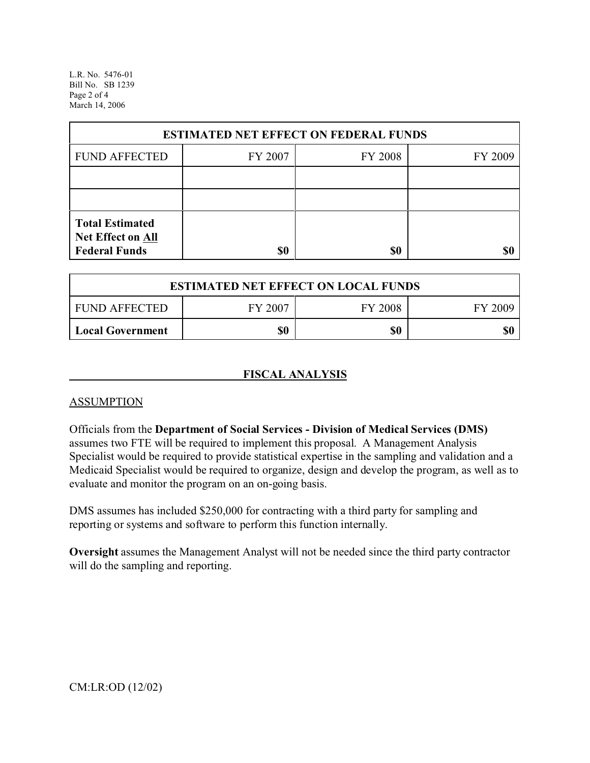L.R. No. 5476-01 Bill No. SB 1239 Page 2 of 4 March 14, 2006

| <b>ESTIMATED NET EFFECT ON FEDERAL FUNDS</b> |         |                |         |  |
|----------------------------------------------|---------|----------------|---------|--|
| <b>FUND AFFECTED</b>                         | FY 2007 | <b>FY 2008</b> | FY 2009 |  |
|                                              |         |                |         |  |
|                                              |         |                |         |  |
| <b>Total Estimated</b><br>Net Effect on All  |         |                |         |  |
| <b>Federal Funds</b>                         | \$0     | \$0            |         |  |

| <b>ESTIMATED NET EFFECT ON LOCAL FUNDS</b> |         |         |         |
|--------------------------------------------|---------|---------|---------|
| <b>FUND AFFECTED</b>                       | FY 2007 | FY 2008 | FY 2009 |
| <b>Local Government</b>                    | \$0     | \$0     | \$(     |

## **FISCAL ANALYSIS**

## **ASSUMPTION**

Officials from the **Department of Social Services - Division of Medical Services (DMS)** assumes two FTE will be required to implement this proposal. A Management Analysis Specialist would be required to provide statistical expertise in the sampling and validation and a Medicaid Specialist would be required to organize, design and develop the program, as well as to evaluate and monitor the program on an on-going basis.

DMS assumes has included \$250,000 for contracting with a third party for sampling and reporting or systems and software to perform this function internally.

**Oversight** assumes the Management Analyst will not be needed since the third party contractor will do the sampling and reporting.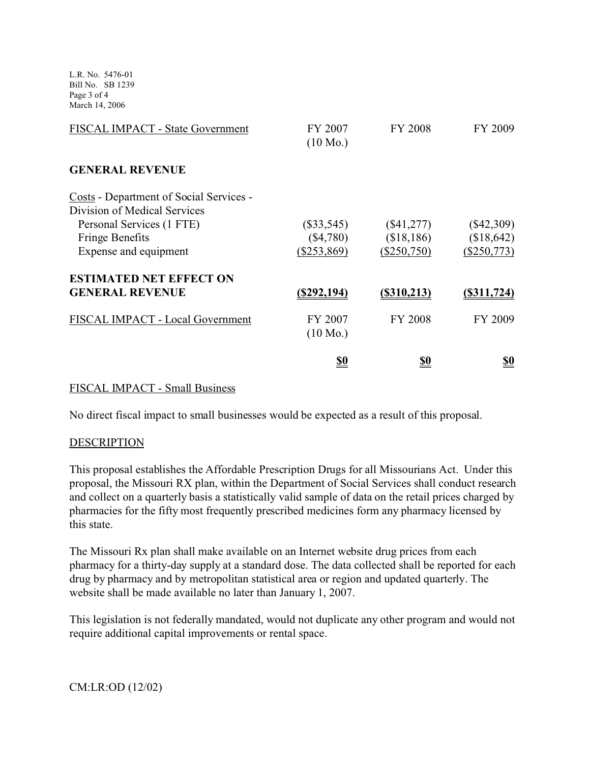L.R. No. 5476-01 Bill No. SB 1239 Page 3 of 4 March 14, 2006

| FISCAL IMPACT - State Government               | FY 2007<br>$(10 \text{ Mo.})$ | FY 2008      | FY 2009           |
|------------------------------------------------|-------------------------------|--------------|-------------------|
| <b>GENERAL REVENUE</b>                         |                               |              |                   |
| <b>Costs - Department of Social Services -</b> |                               |              |                   |
| Division of Medical Services                   |                               |              |                   |
| Personal Services (1 FTE)                      | $(\$33,545)$                  | $(\$41,277)$ | $(\$42,309)$      |
| <b>Fringe Benefits</b>                         | (\$4,780)                     | (\$18,186)   | (\$18,642)        |
| Expense and equipment                          | (\$253,869)                   | (\$250,750)  | (\$250,773)       |
| <b>ESTIMATED NET EFFECT ON</b>                 |                               |              |                   |
| <b>GENERAL REVENUE</b>                         | <u>(\$292,194)</u>            | (S310,213)   | $($ \$311,724 $)$ |
| FISCAL IMPACT - Local Government               | FY 2007                       | FY 2008      | FY 2009           |
|                                                | $(10 \text{ Mo.})$            |              |                   |
|                                                | <u>\$0</u>                    | <u>\$0</u>   | <u>\$0</u>        |
|                                                |                               |              |                   |

#### FISCAL IMPACT - Small Business

No direct fiscal impact to small businesses would be expected as a result of this proposal.

#### **DESCRIPTION**

This proposal establishes the Affordable Prescription Drugs for all Missourians Act. Under this proposal, the Missouri RX plan, within the Department of Social Services shall conduct research and collect on a quarterly basis a statistically valid sample of data on the retail prices charged by pharmacies for the fifty most frequently prescribed medicines form any pharmacy licensed by this state.

The Missouri Rx plan shall make available on an Internet website drug prices from each pharmacy for a thirty-day supply at a standard dose. The data collected shall be reported for each drug by pharmacy and by metropolitan statistical area or region and updated quarterly. The website shall be made available no later than January 1, 2007.

This legislation is not federally mandated, would not duplicate any other program and would not require additional capital improvements or rental space.

CM:LR:OD (12/02)